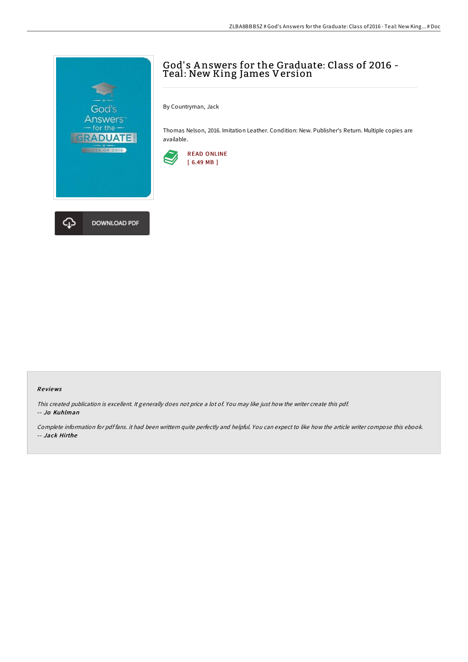

## God' s A nswers for the Graduate: Class of 2016 - Teal: New King James Version

By Countryman, Jack

Thomas Nelson, 2016. Imitation Leather. Condition: New. Publisher's Return. Multiple copies are available.



## Re views

This created publication is excellent. It generally does not price <sup>a</sup> lot of. You may like just how the writer create this pdf. -- Jo Kuhlman

Complete information for pdf fans. it had been writtern quite perfectly and helpful. You can expect to like how the article writer compose this ebook. -- Jack Hirthe